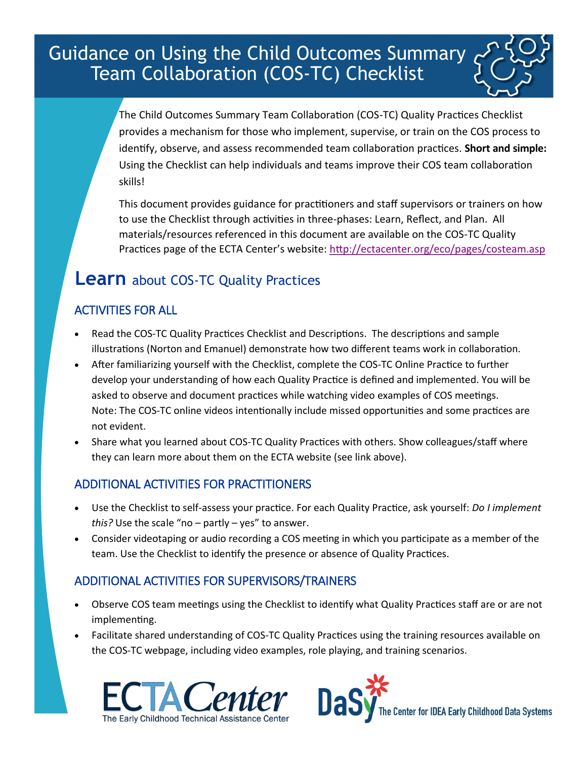Guidance on Using the Child Outcomes Summary Team Collaboration (COS-TC) Checklist

> The Child Outcomes Summary Team Collaboration (COS-TC) Quality Practices Checklist provides a mechanism for those who implement, supervise, or train on the COS process to identify, observe, and assess recommended team collaboration practices. **Short and simple:**  Using the Checklist can help individuals and teams improve their COS team collaboration skills!

> This document provides guidance for practitioners and staff supervisors or trainers on how to use the Checklist through activities in three-phases: Learn, Reflect, and Plan. All materials/resources referenced in this document are available on the COS-TC Quality Practices page of the ECTA Center's website: <http://ectacenter.org/eco/pages/costeam.asp>

# **Learn** about COS-TC Quality Practices

### ACTIVITIES FOR ALL

- Read the COS-TC Quality Practices Checklist and Descriptions. The descriptions and sample illustrations (Norton and Emanuel) demonstrate how two different teams work in collaboration.
- After familiarizing yourself with the Checklist, complete the COS-TC Online Practice to further develop your understanding of how each Quality Practice is defined and implemented. You will be asked to observe and document practices while watching video examples of COS meetings. Note: The COS-TC online videos intentionally include missed opportunities and some practices are not evident.
- Share what you learned about COS-TC Quality Practices with others. Show colleagues/staff where they can learn more about them on the ECTA website (see link above).

### ADDITIONAL ACTIVITIES FOR PRACTITIONERS

- Use the Checklist to self-assess your practice. For each Quality Practice, ask yourself: *Do I implement this?* Use the scale "no – partly – yes" to answer.
- Consider videotaping or audio recording a COS meeting in which you participate as a member of the team. Use the Checklist to identify the presence or absence of Quality Practices.

### ADDITIONAL ACTIVITIES FOR SUPERVISORS/TRAINERS

- Observe COS team meetings using the Checklist to identify what Quality Practices staff are or are not implementing.
- Facilitate shared understanding of COS-TC Quality Practices using the training resources available on the COS-TC webpage, including video examples, role playing, and training scenarios.